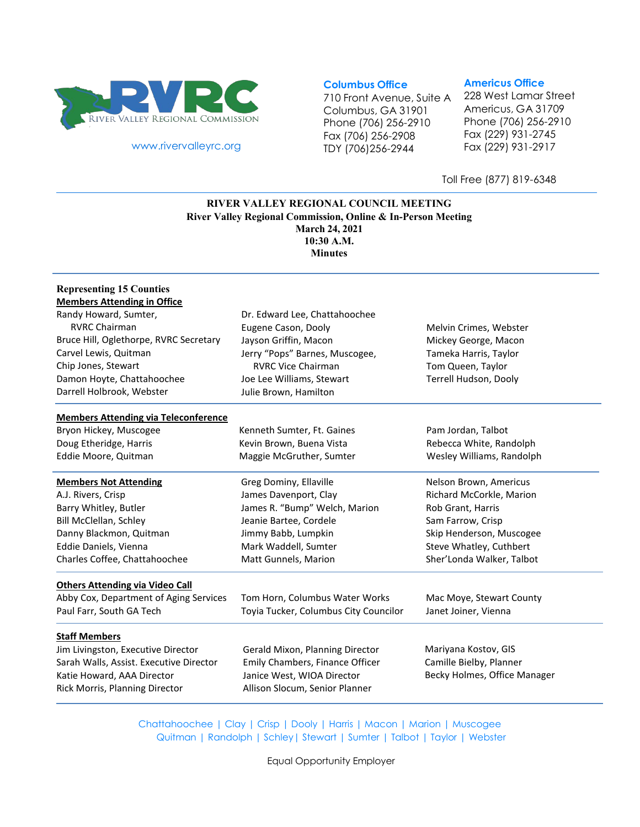

[www.rivervalleyrc.org](http://www.rivervalleyrc.org/)

## **Columbus Office**

710 Front Avenue, Suite A Columbus, GA 31901 Phone (706) 256-2910 Fax (706) 256-2908 TDY (706)256-2944

#### **Americus Office**

228 West Lamar Street Americus, GA 31709 Phone (706) 256-2910 Fax (229) 931-2745 Fax (229) 931-2917

Toll Free (877) 819-6348

## **RIVER VALLEY REGIONAL COUNCIL MEETING River Valley Regional Commission, Online & In-Person Meeting March 24, 2021 10:30 A.M. Minutes**

## **Representing 15 Counties Members Attending in Office**

| Randy Howard, Sumter,                        | Dr. Edward Lee, Chattahoochee                               |                                            |
|----------------------------------------------|-------------------------------------------------------------|--------------------------------------------|
| <b>RVRC Chairman</b>                         | Eugene Cason, Dooly                                         | Melvin Crimes, Webster                     |
| Bruce Hill, Oglethorpe, RVRC Secretary       | Jayson Griffin, Macon                                       | Mickey George, Macon                       |
| Carvel Lewis, Quitman<br>Chip Jones, Stewart | Jerry "Pops" Barnes, Muscogee,<br><b>RVRC Vice Chairman</b> | Tameka Harris, Taylor<br>Tom Queen, Taylor |
|                                              |                                                             |                                            |
| Darrell Holbrook, Webster                    | Julie Brown, Hamilton                                       |                                            |
| <b>Members Attending via Teleconference</b>  |                                                             |                                            |
| Bryon Hickey, Muscogee                       | Kenneth Sumter, Ft. Gaines                                  | Pam Jordan, Talbot                         |
| Doug Etheridge, Harris                       | Kevin Brown, Buena Vista                                    | Rebecca White, Randolph                    |
| Eddie Moore, Quitman                         | Maggie McGruther, Sumter                                    | Wesley Williams, Randolph                  |
| <b>Members Not Attending</b>                 | Greg Dominy, Ellaville                                      | Nelson Brown, Americus                     |
| A.J. Rivers, Crisp                           | James Davenport, Clay                                       | Richard McCorkle, Marion                   |
| Barry Whitley, Butler                        | James R. "Bump" Welch, Marion                               | Rob Grant, Harris                          |
| Bill McClellan, Schley                       | Jeanie Bartee, Cordele                                      | Sam Farrow, Crisp                          |
| Danny Blackmon, Quitman                      | Jimmy Babb, Lumpkin                                         | Skip Henderson, Muscogee                   |
| Eddie Daniels, Vienna                        | Mark Waddell, Sumter                                        | Steve Whatley, Cuthbert                    |
| Charles Coffee, Chattahoochee                | Matt Gunnels, Marion                                        | Sher'Londa Walker, Talbot                  |
| <b>Others Attending via Video Call</b>       |                                                             |                                            |
| Abby Cox, Department of Aging Services       | Tom Horn, Columbus Water Works                              | Mac Moye, Stewart County                   |
| Paul Farr, South GA Tech                     | Toyia Tucker, Columbus City Councilor                       | Janet Joiner, Vienna                       |
| <b>Staff Members</b>                         |                                                             |                                            |
| Jim Livingston, Executive Director           | Gerald Mixon, Planning Director                             | Mariyana Kostov, GIS                       |
| Sarah Walls, Assist. Executive Director      | Emily Chambers, Finance Officer                             | Camille Bielby, Planner                    |
| Katie Howard, AAA Director                   | Janice West, WIOA Director                                  | Becky Holmes, Office Manager               |
| Rick Morris, Planning Director               | Allison Slocum, Senior Planner                              |                                            |
|                                              |                                                             |                                            |

Chattahoochee | Clay | Crisp | Dooly | Harris | Macon | Marion | Muscogee Quitman | Randolph | Schley| Stewart | Sumter | Talbot | Taylor | Webster

Equal Opportunity Employer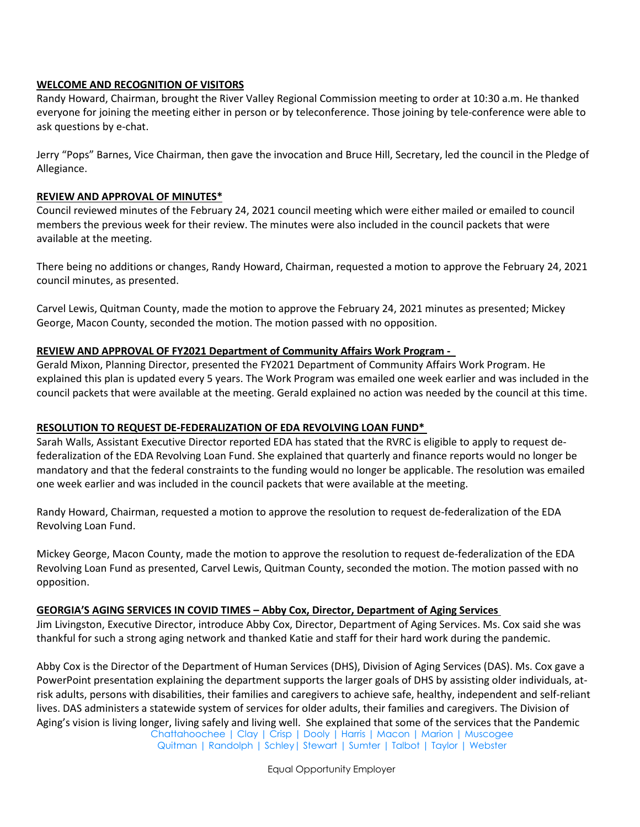## **WELCOME AND RECOGNITION OF VISITORS**

Randy Howard, Chairman, brought the River Valley Regional Commission meeting to order at 10:30 a.m. He thanked everyone for joining the meeting either in person or by teleconference. Those joining by tele-conference were able to ask questions by e-chat.

Jerry "Pops" Barnes, Vice Chairman, then gave the invocation and Bruce Hill, Secretary, led the council in the Pledge of Allegiance.

## **REVIEW AND APPROVAL OF MINUTES\***

Council reviewed minutes of the February 24, 2021 council meeting which were either mailed or emailed to council members the previous week for their review. The minutes were also included in the council packets that were available at the meeting.

There being no additions or changes, Randy Howard, Chairman, requested a motion to approve the February 24, 2021 council minutes, as presented.

Carvel Lewis, Quitman County, made the motion to approve the February 24, 2021 minutes as presented; Mickey George, Macon County, seconded the motion. The motion passed with no opposition.

## **REVIEW AND APPROVAL OF FY2021 Department of Community Affairs Work Program -**

Gerald Mixon, Planning Director, presented the FY2021 Department of Community Affairs Work Program. He explained this plan is updated every 5 years. The Work Program was emailed one week earlier and was included in the council packets that were available at the meeting. Gerald explained no action was needed by the council at this time.

# **RESOLUTION TO REQUEST DE-FEDERALIZATION OF EDA REVOLVING LOAN FUND\***

Sarah Walls, Assistant Executive Director reported EDA has stated that the RVRC is eligible to apply to request defederalization of the EDA Revolving Loan Fund. She explained that quarterly and finance reports would no longer be mandatory and that the federal constraints to the funding would no longer be applicable. The resolution was emailed one week earlier and was included in the council packets that were available at the meeting.

Randy Howard, Chairman, requested a motion to approve the resolution to request de-federalization of the EDA Revolving Loan Fund.

Mickey George, Macon County, made the motion to approve the resolution to request de-federalization of the EDA Revolving Loan Fund as presented, Carvel Lewis, Quitman County, seconded the motion. The motion passed with no opposition.

## **GEORGIA'S AGING SERVICES IN COVID TIMES – Abby Cox, Director, Department of Aging Services**

Jim Livingston, Executive Director, introduce Abby Cox, Director, Department of Aging Services. Ms. Cox said she was thankful for such a strong aging network and thanked Katie and staff for their hard work during the pandemic.

Chattahoochee | Clay | Crisp | Dooly | Harris | Macon | Marion | Muscogee Abby Cox is the Director of the Department of Human Services (DHS), Division of Aging Services (DAS). Ms. Cox gave a PowerPoint presentation explaining the department supports the larger goals of DHS by assisting older individuals, atrisk adults, persons with disabilities, their families and caregivers to achieve safe, healthy, independent and self-reliant lives. DAS administers a statewide system of services for older adults, their families and caregivers. The Division of Aging's vision is living longer, living safely and living well. She explained that some of the services that the Pandemic

Quitman | Randolph | Schley| Stewart | Sumter | Talbot | Taylor | Webster

Equal Opportunity Employer